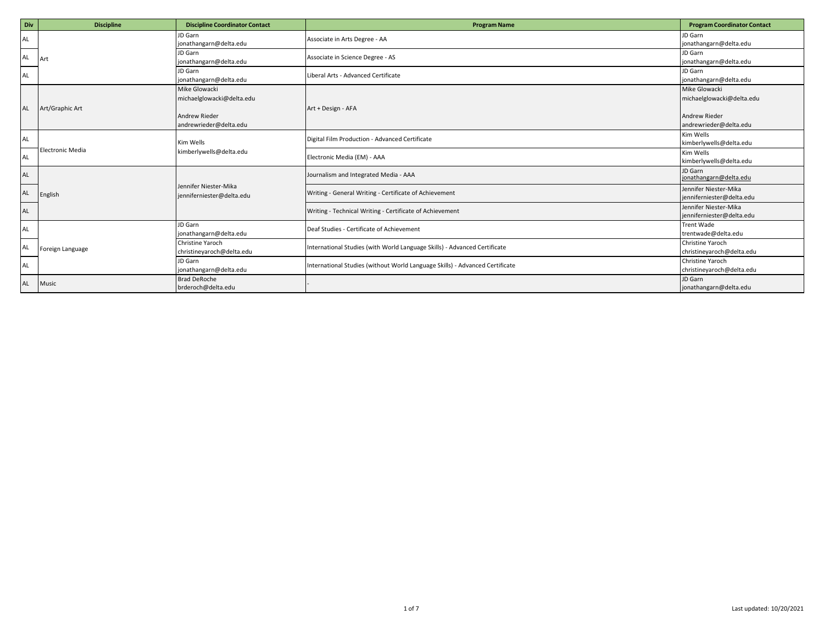| Div       | <b>Discipline</b>       | <b>Discipline Coordinator Contact</b>                              | <b>Program Name</b>                                                          | <b>Program Coordinator Contact</b>                                 |
|-----------|-------------------------|--------------------------------------------------------------------|------------------------------------------------------------------------------|--------------------------------------------------------------------|
| AL        |                         | JD Garn<br>jonathangarn@delta.edu                                  | Associate in Arts Degree - AA                                                | JD Garn<br>jonathangarn@delta.edu                                  |
| AL        | Art                     | JD Garn<br>jonathangarn@delta.edu                                  | Associate in Science Degree - AS                                             | JD Garn<br>jonathangarn@delta.edu                                  |
| AL        |                         | JD Garn<br>jonathangarn@delta.edu                                  | Liberal Arts - Advanced Certificate                                          | JD Garn<br>jonathangarn@delta.edu                                  |
| <b>AL</b> | Art/Graphic Art         | Mike Glowacki<br>michaelglowacki@delta.edu<br><b>Andrew Rieder</b> | Art + Design - AFA                                                           | Mike Glowacki<br>michaelglowacki@delta.edu<br><b>Andrew Rieder</b> |
| AL        |                         | andrewrieder@delta.edu<br>Kim Wells                                | Digital Film Production - Advanced Certificate                               | andrewrieder@delta.edu<br>Kim Wells<br>kimberlywells@delta.edu     |
| AL        | <b>Electronic Media</b> | kimberlywells@delta.edu                                            | Electronic Media (EM) - AAA                                                  | Kim Wells<br>kimberlywells@delta.edu                               |
| AL        |                         |                                                                    | Journalism and Integrated Media - AAA                                        | JD Garn<br>jonathangarn@delta.edu                                  |
| AL        | English                 | Jennifer Niester-Mika<br>jenniferniester@delta.edu                 | Writing - General Writing - Certificate of Achievement                       | Jennifer Niester-Mika<br>jenniferniester@delta.edu                 |
| AL        |                         |                                                                    | Writing - Technical Writing - Certificate of Achievement                     | Jennifer Niester-Mika<br>jenniferniester@delta.edu                 |
| AL        |                         | JD Garn<br>jonathangarn@delta.edu                                  | Deaf Studies - Certificate of Achievement                                    | <b>Trent Wade</b><br>trentwade@delta.edu                           |
| AL        | Foreign Language        | Christine Yaroch<br>christineyaroch@delta.edu                      | International Studies (with World Language Skills) - Advanced Certificate    | Christine Yaroch<br>christineyaroch@delta.edu                      |
| AL        |                         | JD Garn<br>jonathangarn@delta.edu                                  | International Studies (without World Language Skills) - Advanced Certificate | Christine Yaroch<br>christineyaroch@delta.edu                      |
| AL        | Music                   | <b>Brad DeRoche</b><br>brderoch@delta.edu                          |                                                                              | JD Garn<br>jonathangarn@delta.edu                                  |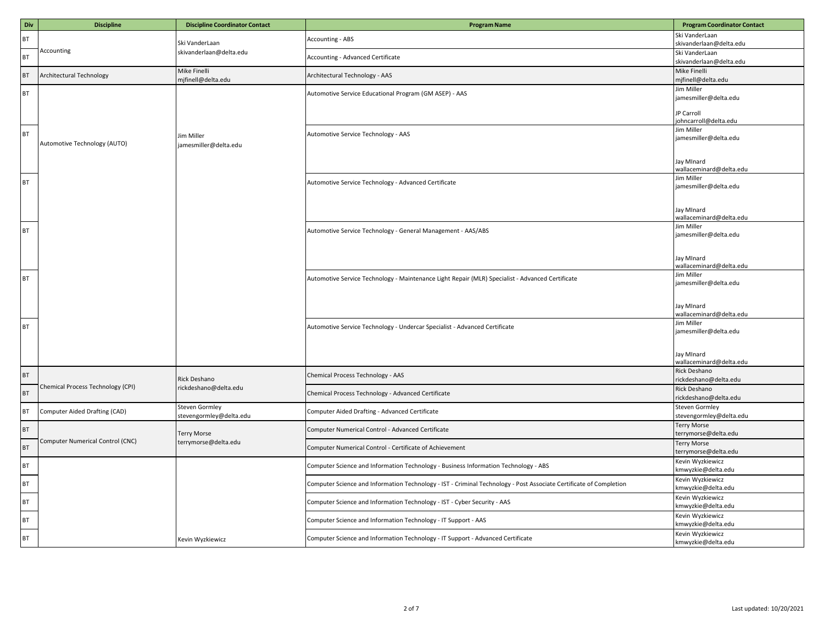| Div             | <b>Discipline</b>                 | <b>Discipline Coordinator Contact</b>      | <b>Program Name</b>                                                                                                | <b>Program Coordinator Contact</b>        |
|-----------------|-----------------------------------|--------------------------------------------|--------------------------------------------------------------------------------------------------------------------|-------------------------------------------|
| BT              |                                   |                                            | Accounting - ABS                                                                                                   | Ski VanderLaan                            |
|                 | Accounting                        | Ski VanderLaan                             |                                                                                                                    | skivanderlaan@delta.edu                   |
| BT              |                                   | skivanderlaan@delta.edu                    | Accounting - Advanced Certificate                                                                                  | Ski VanderLaan<br>skivanderlaan@delta.edu |
|                 |                                   | Mike Finelli                               |                                                                                                                    | Mike Finelli                              |
| $\mathsf{BT}$   | Architectural Technology          | mjfinell@delta.edu                         | Architectural Technology - AAS                                                                                     | mjfinell@delta.edu                        |
| $\mathsf{BT}$   |                                   |                                            | Automotive Service Educational Program (GM ASEP) - AAS                                                             | Jim Miller                                |
|                 |                                   |                                            |                                                                                                                    | jamesmiller@delta.edu                     |
|                 |                                   |                                            |                                                                                                                    | JP Carroll                                |
|                 |                                   |                                            |                                                                                                                    | ohncarroll@delta.edu                      |
| <b>BT</b>       |                                   | Jim Miller                                 | Automotive Service Technology - AAS                                                                                | Jim Miller<br>jamesmiller@delta.edu       |
|                 | Automotive Technology (AUTO)      | jamesmiller@delta.edu                      |                                                                                                                    |                                           |
|                 |                                   |                                            |                                                                                                                    |                                           |
|                 |                                   |                                            |                                                                                                                    | Jay MInard<br>wallaceminard@delta.edu     |
|                 |                                   |                                            |                                                                                                                    | Jim Miller                                |
| $\mathsf{BT}$   |                                   |                                            | Automotive Service Technology - Advanced Certificate                                                               | jamesmiller@delta.edu                     |
|                 |                                   |                                            |                                                                                                                    |                                           |
|                 |                                   |                                            |                                                                                                                    | Jay MInard                                |
|                 |                                   |                                            |                                                                                                                    | wallaceminard@delta.edu                   |
| BT              |                                   |                                            | Automotive Service Technology - General Management - AAS/ABS                                                       | lim Miller<br>jamesmiller@delta.edu       |
|                 |                                   |                                            |                                                                                                                    |                                           |
|                 |                                   |                                            |                                                                                                                    |                                           |
|                 |                                   |                                            |                                                                                                                    | lay Minard<br>wallaceminard@delta.edu     |
| BT              |                                   |                                            | Automotive Service Technology - Maintenance Light Repair (MLR) Specialist - Advanced Certificate                   | Jim Miller                                |
|                 |                                   |                                            |                                                                                                                    | jamesmiller@delta.edu                     |
|                 |                                   |                                            |                                                                                                                    |                                           |
|                 |                                   |                                            |                                                                                                                    | Jay MInard                                |
|                 |                                   |                                            |                                                                                                                    | wallaceminard@delta.edu                   |
| BT              |                                   |                                            | Automotive Service Technology - Undercar Specialist - Advanced Certificate                                         | Jim Miller<br>jamesmiller@delta.edu       |
|                 |                                   |                                            |                                                                                                                    |                                           |
|                 |                                   |                                            |                                                                                                                    | Jay MInard                                |
|                 |                                   |                                            |                                                                                                                    | wallaceminard@delta.edu                   |
| $\mathsf{BT}$   |                                   |                                            | Chemical Process Technology - AAS                                                                                  | Rick Deshano                              |
|                 | Chemical Process Technology (CPI) | Rick Deshano<br>rickdeshano@delta.edu      |                                                                                                                    | rickdeshano@delta.edu                     |
| B               |                                   |                                            | Chemical Process Technology - Advanced Certificate                                                                 | Rick Deshano<br>rickdeshano@delta.edu     |
|                 |                                   | <b>Steven Gormley</b>                      |                                                                                                                    | Steven Gormley                            |
| <b>BT</b>       | Computer Aided Drafting (CAD)     | stevengormley@delta.edu                    | Computer Aided Drafting - Advanced Certificate                                                                     | stevengormley@delta.edu                   |
| <b>BT</b>       |                                   |                                            | Computer Numerical Control - Advanced Certificate                                                                  | <b>Terry Morse</b>                        |
|                 | Computer Numerical Control (CNC)  | <b>Terry Morse</b><br>terrymorse@delta.edu |                                                                                                                    | terrymorse@delta.edu<br>Terry Morse       |
| BT              |                                   |                                            | Computer Numerical Control - Certificate of Achievement                                                            | terrymorse@delta.edu                      |
|                 |                                   |                                            |                                                                                                                    | Kevin Wyzkiewicz                          |
| $\mathsf{BT}$   |                                   |                                            | Computer Science and Information Technology - Business Information Technology - ABS                                | kmwyzkie@delta.edu                        |
| $\mathsf{BT}$   |                                   |                                            | Computer Science and Information Technology - IST - Criminal Technology - Post Associate Certificate of Completion | Kevin Wyzkiewicz                          |
|                 |                                   |                                            |                                                                                                                    | kmwyzkie@delta.edu<br>Kevin Wyzkiewicz    |
| BT              |                                   |                                            | Computer Science and Information Technology - IST - Cyber Security - AAS                                           | kmwyzkie@delta.edu                        |
| $F_{\text{BT}}$ |                                   |                                            | Computer Science and Information Technology - IT Support - AAS                                                     | Kevin Wyzkiewicz                          |
|                 |                                   |                                            |                                                                                                                    | kmwyzkie@delta.edu                        |
| BT              |                                   | Kevin Wyzkiewicz                           | Computer Science and Information Technology - IT Support - Advanced Certificate                                    | Kevin Wyzkiewicz                          |
|                 |                                   |                                            |                                                                                                                    | kmwyzkie@delta.edu                        |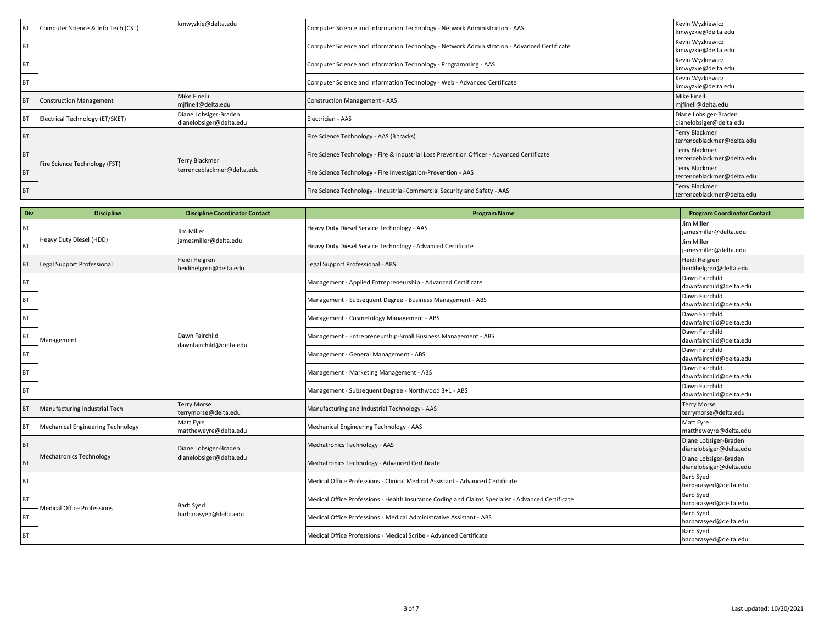| <b>BT</b> | Computer Science & Info Tech (CST) | kmwyzkie@delta.edu                               | Computer Science and Information Technology - Network Administration - AAS                  | Kevin Wyzkiewicz<br>kmwyzkie@delta.edu           |
|-----------|------------------------------------|--------------------------------------------------|---------------------------------------------------------------------------------------------|--------------------------------------------------|
| <b>BT</b> |                                    |                                                  | Computer Science and Information Technology - Network Administration - Advanced Certificate | Kevin Wyzkiewicz<br>kmwyzkie@delta.edu           |
|           |                                    |                                                  | Computer Science and Information Technology - Programming - AAS                             | Kevin Wyzkiewicz<br>kmwyzkie@delta.edu           |
| <b>BT</b> |                                    |                                                  | Computer Science and Information Technology - Web - Advanced Certificate                    | Kevin Wyzkiewicz<br>kmwyzkie@delta.edu           |
| <b>BT</b> | <b>Construction Management</b>     | Mike Finelli<br>mifinell@delta.edu               | <b>Construction Management - AAS</b>                                                        | Mike Finelli<br>mjfinell@delta.edu               |
| <b>BT</b> | Electrical Technology (ET/SKET)    | Diane Lobsiger-Braden<br>dianelobsiger@delta.edu | Electrician - AAS                                                                           | Diane Lobsiger-Braden<br>dianelobsiger@delta.edu |
| <b>BT</b> |                                    |                                                  | Fire Science Technology - AAS (3 tracks)                                                    | Terry Blackmer<br>terrenceblackmer@delta.edu     |
| <b>BT</b> |                                    | <b>Terry Blackmer</b>                            | Fire Science Technology - Fire & Industrial Loss Prevention Officer - Advanced Certificate  | Terry Blackmer<br>terrenceblackmer@delta.edu     |
| <b>BT</b> | Fire Science Technology (FST)      | terrenceblackmer@delta.edu                       | Fire Science Technology - Fire Investigation-Prevention - AAS                               | Terry Blackmer<br>terrenceblackmer@delta.edu     |
| <b>BT</b> |                                    |                                                  | Fire Science Technology - Industrial-Commercial Security and Safety - AAS                   | Terry Blackmer<br>terrenceblackmer@delta.edu     |

| Div       | <b>Discipline</b>                 | <b>Discipline Coordinator Contact</b>      | <b>Program Name</b>                                                                               | <b>Program Coordinator Contact</b>               |
|-----------|-----------------------------------|--------------------------------------------|---------------------------------------------------------------------------------------------------|--------------------------------------------------|
| <b>BT</b> |                                   | Jim Miller                                 | Heavy Duty Diesel Service Technology - AAS                                                        | Jim Miller<br>jamesmiller@delta.edu              |
| BT        | Heavy Duty Diesel (HDD)           | jamesmiller@delta.edu                      | Heavy Duty Diesel Service Technology - Advanced Certificate                                       | Jim Miller<br>jamesmiller@delta.edu              |
| <b>BT</b> | Legal Support Professional        | Heidi Helgren<br>heidihelgren@delta.edu    | Legal Support Professional - ABS                                                                  | Heidi Helgren<br>heidihelgren@delta.edu          |
| <b>BT</b> |                                   |                                            | Management - Applied Entrepreneurship - Advanced Certificate                                      | Dawn Fairchild<br>dawnfairchild@delta.edu        |
| BT        |                                   |                                            | Management - Subsequent Degree - Business Management - ABS                                        | Dawn Fairchild<br>dawnfairchild@delta.edu        |
| <b>BT</b> |                                   |                                            | Management - Cosmetology Management - ABS                                                         | Dawn Fairchild<br>dawnfairchild@delta.edu        |
| <b>BT</b> | Management                        | Dawn Fairchild<br>dawnfairchild@delta.edu  | Management - Entrepreneurship-Small Business Management - ABS                                     | Dawn Fairchild<br>dawnfairchild@delta.edu        |
| <b>BT</b> |                                   |                                            | Management - General Management - ABS                                                             | Dawn Fairchild<br>dawnfairchild@delta.edu        |
| <b>BT</b> |                                   |                                            | Management - Marketing Management - ABS                                                           | Dawn Fairchild<br>dawnfairchild@delta.edu        |
| <b>BT</b> |                                   |                                            | Management - Subsequent Degree - Northwood 3+1 - ABS                                              | Dawn Fairchild<br>dawnfairchild@delta.edu        |
| <b>BT</b> | Manufacturing Industrial Tech     | <b>Terry Morse</b><br>terrymorse@delta.edu | Manufacturing and Industrial Technology - AAS                                                     | <b>Terry Morse</b><br>terrymorse@delta.edu       |
| <b>BT</b> | Mechanical Engineering Technology | Matt Eyre<br>mattheweyre@delta.edu         | Mechanical Engineering Technology - AAS                                                           | Matt Eyre<br>mattheweyre@delta.edu               |
| <b>BT</b> |                                   | Diane Lobsiger-Braden                      | Mechatronics Technology - AAS                                                                     | Diane Lobsiger-Braden<br>dianelobsiger@delta.edu |
| <b>BT</b> | Mechatronics Technology           | dianelobsiger@delta.edu                    | Mechatronics Technology - Advanced Certificate                                                    | Diane Lobsiger-Braden<br>dianelobsiger@delta.edu |
| BT        |                                   |                                            | Medical Office Professions - Clinical Medical Assistant - Advanced Certificate                    | Barb Syed<br>barbarasyed@delta.edu               |
| <b>BT</b> | <b>Medical Office Professions</b> | Barb Syed                                  | Medical Office Professions - Health Insurance Coding and Claims Specialist - Advanced Certificate | Barb Syed<br>barbarasyed@delta.edu               |
| <b>BT</b> |                                   | barbarasyed@delta.edu                      | Medical Office Professions - Medical Administrative Assistant - ABS                               | Barb Syed<br>barbarasyed@delta.edu               |
| <b>BT</b> |                                   |                                            | Medical Office Professions - Medical Scribe - Advanced Certificate                                | <b>Barb Syed</b><br>barbarasyed@delta.edu        |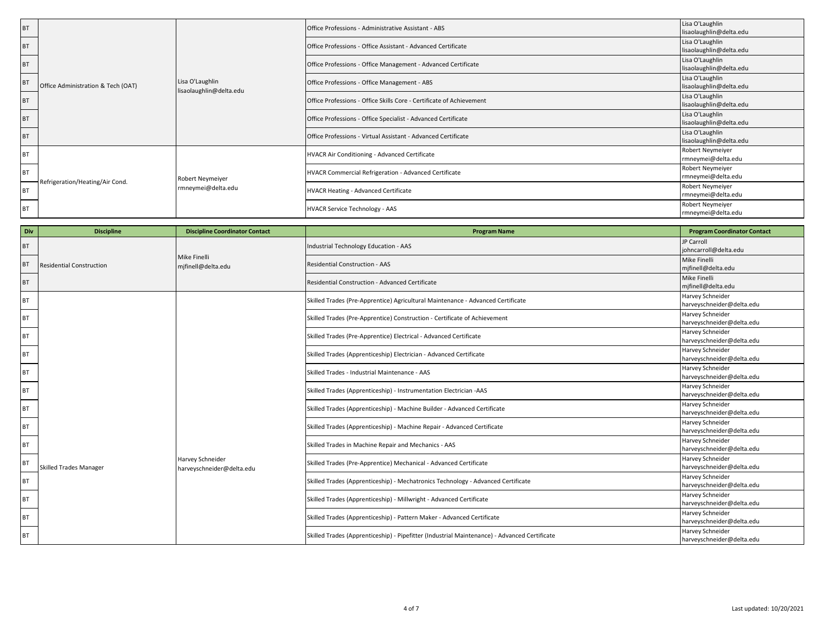| BT        |                                    | Lisa O'Laughlin<br>lisaolaughlin@delta.edu | Office Professions - Administrative Assistant - ABS                  | Lisa O'Laughlin<br>lisaolaughlin@delta.edu |
|-----------|------------------------------------|--------------------------------------------|----------------------------------------------------------------------|--------------------------------------------|
| <b>BT</b> |                                    |                                            | Office Professions - Office Assistant - Advanced Certificate         | Lisa O'Laughlin<br>lisaolaughlin@delta.edu |
| <b>BT</b> |                                    |                                            | Office Professions - Office Management - Advanced Certificate        | Lisa O'Laughlin<br>lisaolaughlin@delta.edu |
| <b>BT</b> | Office Administration & Tech (OAT) |                                            | Office Professions - Office Management - ABS                         | Lisa O'Laughlin<br>lisaolaughlin@delta.edu |
| <b>BT</b> |                                    |                                            | Office Professions - Office Skills Core - Certificate of Achievement | Lisa O'Laughlin<br>lisaolaughlin@delta.edu |
| <b>BT</b> |                                    |                                            | Office Professions - Office Specialist - Advanced Certificate        | Lisa O'Laughlin<br>lisaolaughlin@delta.edu |
| <b>BT</b> |                                    |                                            | Office Professions - Virtual Assistant - Advanced Certificate        | Lisa O'Laughlin<br>lisaolaughlin@delta.edu |
| <b>BT</b> |                                    | Robert Neymeiyer<br>rmneymei@delta.edu     | HVACR Air Conditioning - Advanced Certificate                        | Robert Neymeiyer<br>rmneymei@delta.edu     |
| <b>BT</b> | Refrigeration/Heating/Air Cond.    |                                            | HVACR Commercial Refrigeration - Advanced Certificate                | Robert Neymeiyer<br>rmneymei@delta.edu     |
| <b>BT</b> |                                    |                                            | HVACR Heating - Advanced Certificate                                 | Robert Neymeiyer<br>rmneymei@delta.edu     |
| <b>BT</b> |                                    |                                            | HVACR Service Technology - AAS                                       | Robert Neymeiyer<br>rmneymei@delta.edu     |

| Div       | <b>Discipline</b>               | <b>Discipline Coordinator Contact</b>         | <b>Program Name</b>                                                                          | <b>Program Coordinator Contact</b>            |
|-----------|---------------------------------|-----------------------------------------------|----------------------------------------------------------------------------------------------|-----------------------------------------------|
| <b>BT</b> |                                 |                                               | Industrial Technology Education - AAS                                                        | JP Carroll<br>johncarroll@delta.edu           |
| <b>BT</b> | <b>Residential Construction</b> | Mike Finelli<br>mjfinell@delta.edu            | <b>Residential Construction - AAS</b>                                                        | Mike Finelli<br>mjfinell@delta.edu            |
| <b>BT</b> |                                 |                                               | Residential Construction - Advanced Certificate                                              | Mike Finelli<br>mjfinell@delta.edu            |
| <b>BT</b> |                                 |                                               | Skilled Trades (Pre-Apprentice) Agricultural Maintenance - Advanced Certificate              | Harvey Schneider<br>harveyschneider@delta.edu |
| <b>BT</b> |                                 |                                               | Skilled Trades (Pre-Apprentice) Construction - Certificate of Achievement                    | Harvey Schneider<br>harveyschneider@delta.edu |
| <b>BT</b> |                                 |                                               | Skilled Trades (Pre-Apprentice) Electrical - Advanced Certificate                            | Harvey Schneider<br>harveyschneider@delta.edu |
| <b>BT</b> |                                 |                                               | Skilled Trades (Apprenticeship) Electrician - Advanced Certificate                           | Harvey Schneider<br>harveyschneider@delta.edu |
| <b>BT</b> |                                 |                                               | Skilled Trades - Industrial Maintenance - AAS                                                | Harvey Schneider<br>harveyschneider@delta.edu |
| <b>BT</b> |                                 |                                               | Skilled Trades (Apprenticeship) - Instrumentation Electrician -AAS                           | Harvey Schneider<br>harveyschneider@delta.edu |
| <b>BT</b> |                                 |                                               | Skilled Trades (Apprenticeship) - Machine Builder - Advanced Certificate                     | Harvey Schneider<br>harveyschneider@delta.edu |
| <b>BT</b> |                                 |                                               | Skilled Trades (Apprenticeship) - Machine Repair - Advanced Certificate                      | Harvey Schneider<br>harveyschneider@delta.edu |
| <b>BT</b> |                                 |                                               | Skilled Trades in Machine Repair and Mechanics - AAS                                         | Harvey Schneider<br>harveyschneider@delta.edu |
|           | <b>Skilled Trades Manager</b>   | Harvey Schneider<br>harveyschneider@delta.edu | Skilled Trades (Pre-Apprentice) Mechanical - Advanced Certificate                            | Harvey Schneider<br>harveyschneider@delta.edu |
| <b>BT</b> |                                 |                                               | Skilled Trades (Apprenticeship) - Mechatronics Technology - Advanced Certificate             | Harvey Schneider<br>harveyschneider@delta.edu |
| <b>BT</b> |                                 |                                               | Skilled Trades (Apprenticeship) - Millwright - Advanced Certificate                          | Harvey Schneider<br>harveyschneider@delta.edu |
| <b>BT</b> |                                 |                                               | Skilled Trades (Apprenticeship) - Pattern Maker - Advanced Certificate                       | Harvey Schneider<br>harveyschneider@delta.edu |
| BT        |                                 |                                               | Skilled Trades (Apprenticeship) - Pipefitter (Industrial Maintenance) - Advanced Certificate | Harvey Schneider<br>harveyschneider@delta.edu |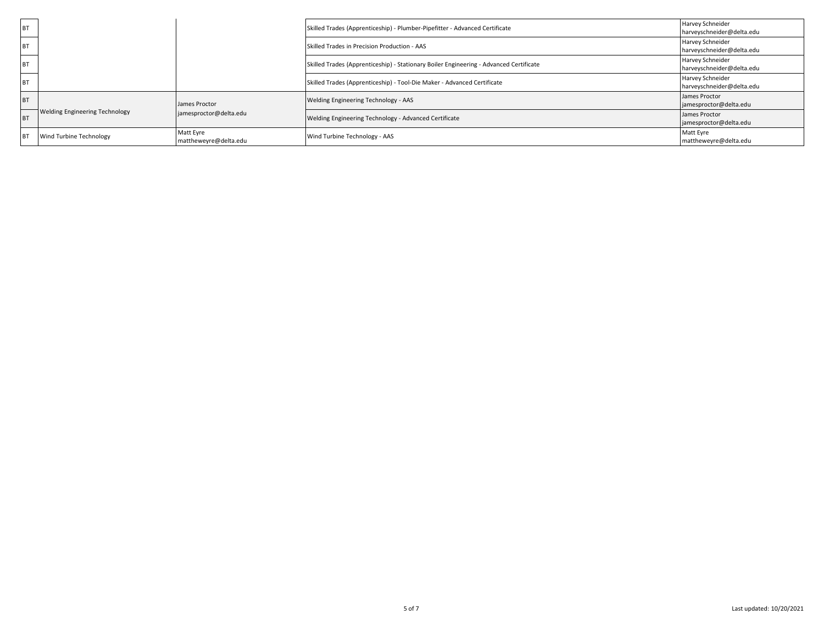| <b>BT</b> |                                       |                                         | Skilled Trades (Apprenticeship) - Plumber-Pipefitter - Advanced Certificate            | Harvey Schneider<br>harveyschneider@delta.edu        |
|-----------|---------------------------------------|-----------------------------------------|----------------------------------------------------------------------------------------|------------------------------------------------------|
| <b>BT</b> |                                       |                                         | Skilled Trades in Precision Production - AAS                                           | <b>Harvey Schneider</b><br>harveyschneider@delta.edu |
|           |                                       |                                         | Skilled Trades (Apprenticeship) - Stationary Boiler Engineering - Advanced Certificate | Harvey Schneider<br>harveyschneider@delta.edu        |
| <b>BT</b> |                                       |                                         | Skilled Trades (Apprenticeship) - Tool-Die Maker - Advanced Certificate                | Harvey Schneider<br>harveyschneider@delta.edu        |
| <b>BT</b> | <b>Welding Engineering Technology</b> | James Proctor<br>jamesproctor@delta.edu | Welding Engineering Technology - AAS                                                   | James Proctor<br>jamesproctor@delta.edu              |
| <b>B</b>  |                                       |                                         | Welding Engineering Technology - Advanced Certificate                                  | James Proctor<br>jamesproctor@delta.edu              |
| IB.       | Wind Turbine Technology               | Matt Eyre<br>mattheweyre@delta.edu      | Wind Turbine Technology - AAS                                                          | Matt Eyre<br>mattheweyre@delta.edu                   |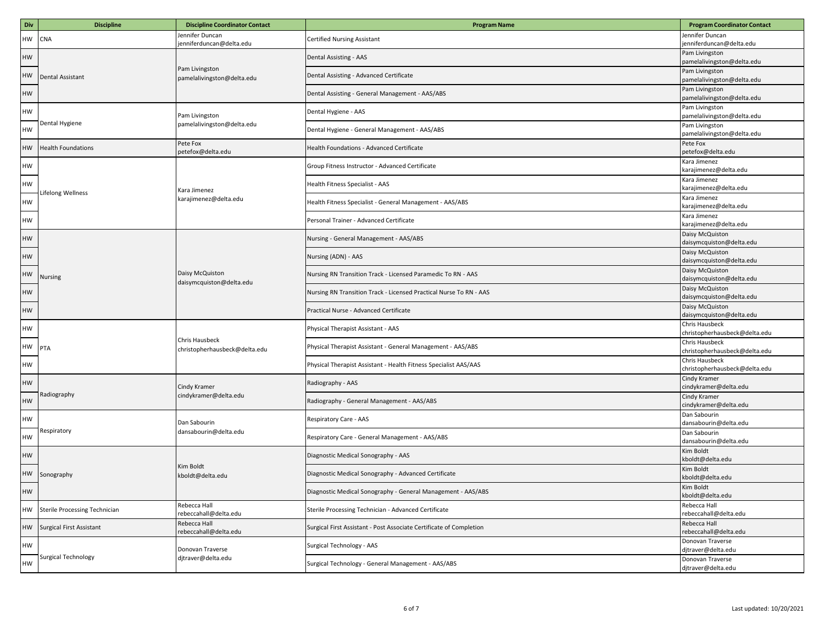| Div | <b>Discipline</b>               | <b>Discipline Coordinator Contact</b>           | <b>Program Name</b>                                                 | <b>Program Coordinator Contact</b>              |
|-----|---------------------------------|-------------------------------------------------|---------------------------------------------------------------------|-------------------------------------------------|
| HW  | CNA                             | lennifer Duncan<br>enniferduncan@delta.edu      | <b>Certified Nursing Assistant</b>                                  | Jennifer Duncan<br>jenniferduncan@delta.edu     |
| HW  |                                 |                                                 | Dental Assisting - AAS                                              | Pam Livingston<br>pamelalivingston@delta.edu    |
| HW  | Dental Assistant                | Pam Livingston<br>pamelalivingston@delta.edu    | Dental Assisting - Advanced Certificate                             | Pam Livingston<br>pamelalivingston@delta.edu    |
| HW  |                                 |                                                 | Dental Assisting - General Management - AAS/ABS                     | Pam Livingston<br>pamelalivingston@delta.edu    |
| НW  |                                 | Pam Livingston                                  | Dental Hygiene - AAS                                                | Pam Livingston<br>pamelalivingston@delta.edu    |
| НW  | Dental Hygiene                  | pamelalivingston@delta.edu                      | Dental Hygiene - General Management - AAS/ABS                       | Pam Livingston<br>pamelalivingston@delta.edu    |
| HW  | <b>Health Foundations</b>       | Pete Fox<br>petefox@delta.edu                   | Health Foundations - Advanced Certificate                           | Pete Fox<br>petefox@delta.edu                   |
| НW  |                                 |                                                 | Group Fitness Instructor - Advanced Certificate                     | Kara Jimenez<br>karajimenez@delta.edu           |
| НW  |                                 | Kara Jimenez                                    | Health Fitness Specialist - AAS                                     | Kara Jimenez<br>karajimenez@delta.edu           |
| НW  | Lifelong Wellness               | karajimenez@delta.edu                           | Health Fitness Specialist - General Management - AAS/ABS            | Kara Jimenez<br>karajimenez@delta.edu           |
| НW  |                                 |                                                 | Personal Trainer - Advanced Certificate                             | Kara Jimenez<br>karajimenez@delta.edu           |
| HW  |                                 |                                                 | Nursing - General Management - AAS/ABS                              | Daisy McQuiston<br>daisymcquiston@delta.edu     |
| HW  |                                 | Daisy McQuiston<br>daisymcquiston@delta.edu     | Nursing (ADN) - AAS                                                 | Daisy McQuiston<br>daisymcquiston@delta.edu     |
| HW  | Nursing                         |                                                 | Nursing RN Transition Track - Licensed Paramedic To RN - AAS        | Daisy McQuiston<br>daisymcquiston@delta.edu     |
| HW  |                                 |                                                 | Nursing RN Transition Track - Licensed Practical Nurse To RN - AAS  | Daisy McQuiston<br>daisymcquiston@delta.edu     |
| HW  |                                 |                                                 | Practical Nurse - Advanced Certificate                              | Daisy McQuiston<br>daisymcquiston@delta.edu     |
| HW  |                                 |                                                 | Physical Therapist Assistant - AAS                                  | Chris Hausbeck<br>christopherhausbeck@delta.edu |
| НW  | PTA                             | Chris Hausbeck<br>christopherhausbeck@delta.edu | Physical Therapist Assistant - General Management - AAS/ABS         | Chris Hausbeck<br>christopherhausbeck@delta.edu |
| НW  |                                 |                                                 | Physical Therapist Assistant - Health Fitness Specialist AAS/AAS    | Chris Hausbeck<br>christopherhausbeck@delta.edu |
| HW  |                                 | Cindy Kramer                                    | Radiography - AAS                                                   | Cindy Kramer<br>cindykramer@delta.edu           |
| HW  | Radiography                     | :indykramer@delta.edu                           | Radiography - General Management - AAS/ABS                          | Cindy Kramer<br>cindykramer@delta.edu           |
| HW  |                                 | Dan Sabourin                                    | Respiratory Care - AAS                                              | Dan Sabourin<br>dansabourin@delta.edu           |
| HW  | Respiratory                     | dansabourin@delta.edu                           | Respiratory Care - General Management - AAS/ABS                     | Dan Sabourin<br>dansabourin@delta.edu           |
| НW  |                                 |                                                 | Diagnostic Medical Sonography - AAS                                 | Kim Boldt<br>kboldt@delta.edu                   |
| HW  | Sonography                      | Kim Boldt<br>kboldt@delta.edu                   | Diagnostic Medical Sonography - Advanced Certificate                | Kim Boldt<br>kboldt@delta.edu                   |
| HW  |                                 |                                                 | Diagnostic Medical Sonography - General Management - AAS/ABS        | Kim Boldt<br>kboldt@delta.edu                   |
| HW  | Sterile Processing Technician   | Rebecca Hall<br>rebeccahall@delta.edu           | Sterile Processing Technician - Advanced Certificate                | Rebecca Hall<br>rebeccahall@delta.edu           |
| HW  | <b>Surgical First Assistant</b> | Rebecca Hall<br>rebeccahall@delta.edu           | Surgical First Assistant - Post Associate Certificate of Completion | Rebecca Hall<br>rebeccahall@delta.edu           |
| HW  |                                 | Donovan Traverse                                | Surgical Technology - AAS                                           | Donovan Traverse<br>djtraver@delta.edu          |
| HW  | Surgical Technology             | djtraver@delta.edu                              | Surgical Technology - General Management - AAS/ABS                  | Donovan Traverse<br>djtraver@delta.edu          |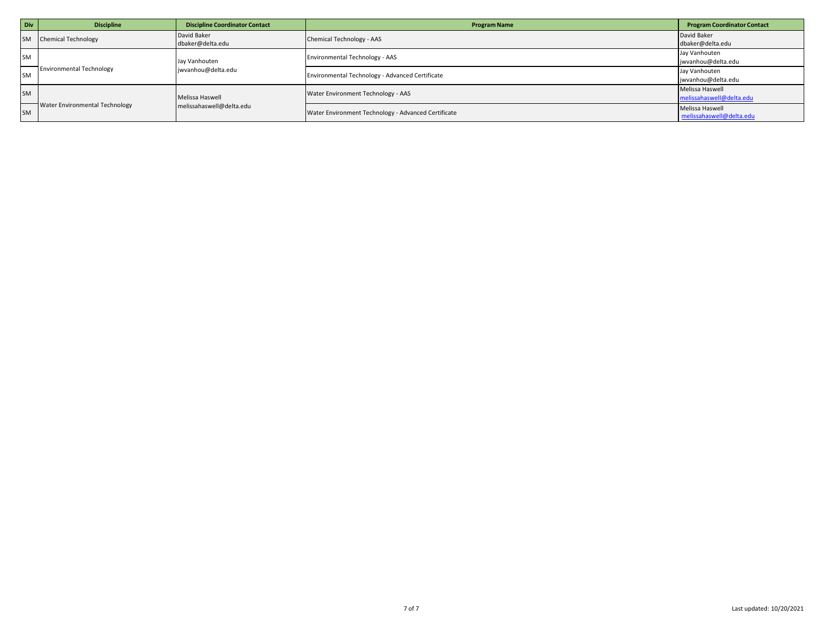| Div       | <b>Discipline</b>                     | <b>Discipline Coordinator Contact</b>       | <b>Program Name</b>                                 | <b>Program Coordinator Contact</b>          |
|-----------|---------------------------------------|---------------------------------------------|-----------------------------------------------------|---------------------------------------------|
| <b>SM</b> | <b>Chemical Technology</b>            | David Baker<br>dbaker@delta.edu             | Chemical Technology - AAS                           | David Baker<br>dbaker@delta.edu             |
| <b>SM</b> | <b>Environmental Technology</b>       | Jay Vanhouten<br>jwvanhou@delta.edu         | <b>Environmental Technology - AAS</b>               | Jay Vanhouten<br>jwvanhou@delta.edu         |
| <b>SM</b> |                                       |                                             | Environmental Technology - Advanced Certificate     | Jay Vanhouten<br>jwvanhou@delta.edu         |
| <b>SM</b> | <b>Water Environmental Technology</b> | Melissa Haswell<br>melissahaswell@delta.edu | Water Environment Technology - AAS                  | Melissa Haswell<br>melissahaswell@delta.edu |
| <b>SM</b> |                                       |                                             | Water Environment Technology - Advanced Certificate | Melissa Haswell<br>melissahaswell@delta.edu |